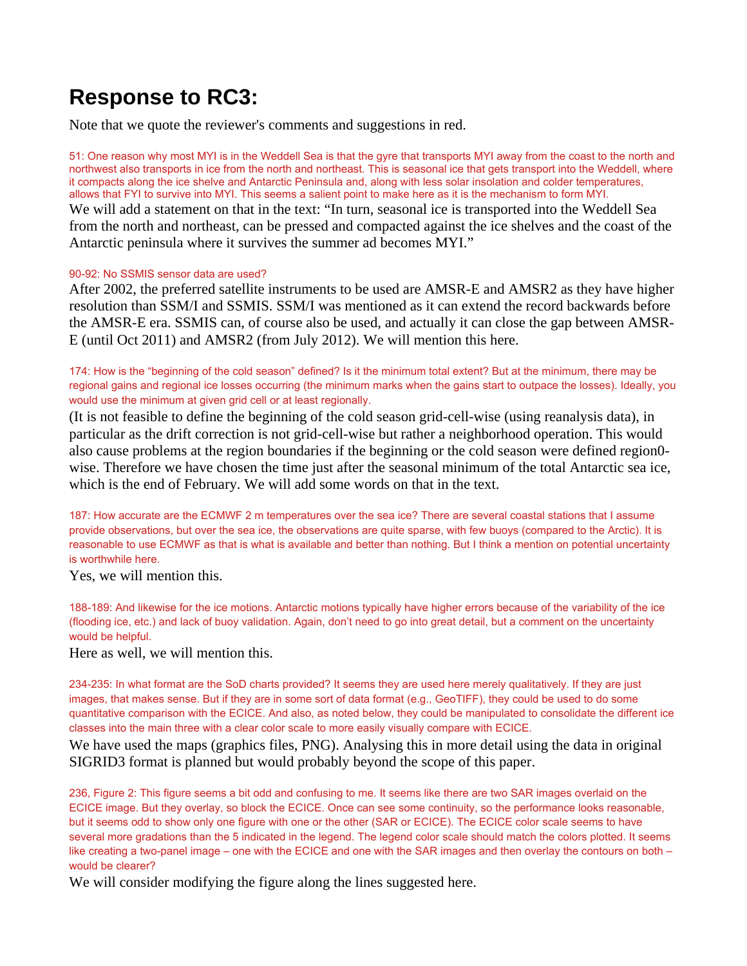## **Response to RC3:**

Note that we quote the reviewer's comments and suggestions in red.

51: One reason why most MYI is in the Weddell Sea is that the gyre that transports MYI away from the coast to the north and northwest also transports in ice from the north and northeast. This is seasonal ice that gets transport into the Weddell, where it compacts along the ice shelve and Antarctic Peninsula and, along with less solar insolation and colder temperatures, allows that FYI to survive into MYI. This seems a salient point to make here as it is the mechanism to form MYI. We will add a statement on that in the text: "In turn, seasonal ice is transported into the Weddell Sea from the north and northeast, can be pressed and compacted against the ice shelves and the coast of the Antarctic peninsula where it survives the summer ad becomes MYI."

## 90-92: No SSMIS sensor data are used?

After 2002, the preferred satellite instruments to be used are AMSR-E and AMSR2 as they have higher resolution than SSM/I and SSMIS. SSM/I was mentioned as it can extend the record backwards before the AMSR-E era. SSMIS can, of course also be used, and actually it can close the gap between AMSR-E (until Oct 2011) and AMSR2 (from July 2012). We will mention this here.

174: How is the "beginning of the cold season" defined? Is it the minimum total extent? But at the minimum, there may be regional gains and regional ice losses occurring (the minimum marks when the gains start to outpace the losses). Ideally, you would use the minimum at given grid cell or at least regionally.

(It is not feasible to define the beginning of the cold season grid-cell-wise (using reanalysis data), in particular as the drift correction is not grid-cell-wise but rather a neighborhood operation. This would also cause problems at the region boundaries if the beginning or the cold season were defined region0 wise. Therefore we have chosen the time just after the seasonal minimum of the total Antarctic sea ice, which is the end of February. We will add some words on that in the text.

187: How accurate are the ECMWF 2 m temperatures over the sea ice? There are several coastal stations that I assume provide observations, but over the sea ice, the observations are quite sparse, with few buoys (compared to the Arctic). It is reasonable to use ECMWF as that is what is available and better than nothing. But I think a mention on potential uncertainty is worthwhile here.

Yes, we will mention this.

188-189: And likewise for the ice motions. Antarctic motions typically have higher errors because of the variability of the ice (flooding ice, etc.) and lack of buoy validation. Again, don't need to go into great detail, but a comment on the uncertainty would be helpful.

Here as well, we will mention this.

234-235: In what format are the SoD charts provided? It seems they are used here merely qualitatively. If they are just images, that makes sense. But if they are in some sort of data format (e.g., GeoTIFF), they could be used to do some quantitative comparison with the ECICE. And also, as noted below, they could be manipulated to consolidate the different ice classes into the main three with a clear color scale to more easily visually compare with ECICE.

We have used the maps (graphics files, PNG). Analysing this in more detail using the data in original SIGRID3 format is planned but would probably beyond the scope of this paper.

236, Figure 2: This figure seems a bit odd and confusing to me. It seems like there are two SAR images overlaid on the ECICE image. But they overlay, so block the ECICE. Once can see some continuity, so the performance looks reasonable, but it seems odd to show only one figure with one or the other (SAR or ECICE). The ECICE color scale seems to have several more gradations than the 5 indicated in the legend. The legend color scale should match the colors plotted. It seems like creating a two-panel image – one with the ECICE and one with the SAR images and then overlay the contours on both – would be clearer?

We will consider modifying the figure along the lines suggested here.